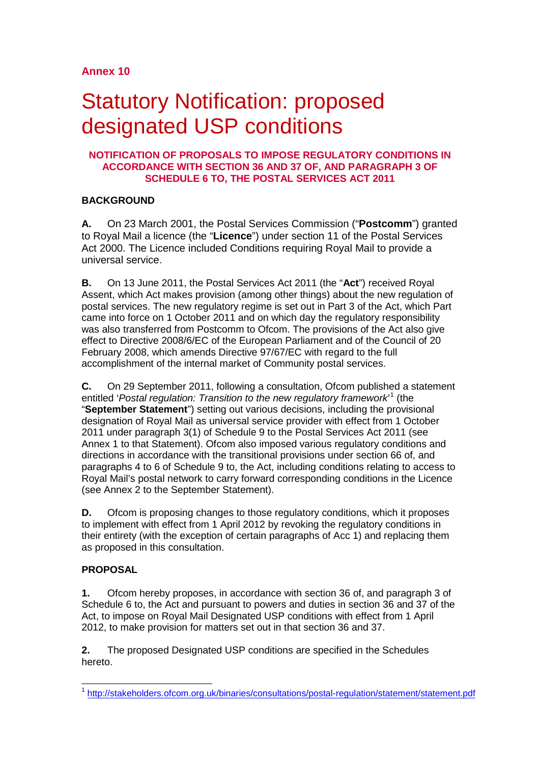# Statutory Notification: proposed designated USP conditions

## **NOTIFICATION OF PROPOSALS TO IMPOSE REGULATORY CONDITIONS IN ACCORDANCE WITH SECTION 36 AND 37 OF, AND PARAGRAPH 3 OF SCHEDULE 6 TO, THE POSTAL SERVICES ACT 2011**

## **BACKGROUND**

**A.** On 23 March 2001, the Postal Services Commission ("**Postcomm**") granted to Royal Mail a licence (the "**Licence**") under section 11 of the Postal Services Act 2000. The Licence included Conditions requiring Royal Mail to provide a universal service.

**B.** On 13 June 2011, the Postal Services Act 2011 (the "**Act**") received Royal Assent, which Act makes provision (among other things) about the new regulation of postal services. The new regulatory regime is set out in Part 3 of the Act, which Part came into force on 1 October 2011 and on which day the regulatory responsibility was also transferred from Postcomm to Ofcom. The provisions of the Act also give effect to Directive 2008/6/EC of the European Parliament and of the Council of 20 February 2008, which amends Directive 97/67/EC with regard to the full accomplishment of the internal market of Community postal services.

**C.** On 29 September 2011, following a consultation, Ofcom published a statement entitled 'Postal regulation: Transition to the new regulatory framework<sup>[1](#page-0-0)</sup> (the "**September Statement**") setting out various decisions, including the provisional designation of Royal Mail as universal service provider with effect from 1 October 2011 under paragraph 3(1) of Schedule 9 to the Postal Services Act 2011 (see Annex 1 to that Statement). Ofcom also imposed various regulatory conditions and directions in accordance with the transitional provisions under section 66 of, and paragraphs 4 to 6 of Schedule 9 to, the Act, including conditions relating to access to Royal Mail's postal network to carry forward corresponding conditions in the Licence (see Annex 2 to the September Statement).

**D.** Ofcom is proposing changes to those regulatory conditions, which it proposes to implement with effect from 1 April 2012 by revoking the regulatory conditions in their entirety (with the exception of certain paragraphs of Acc 1) and replacing them as proposed in this consultation.

## **PROPOSAL**

**1.** Ofcom hereby proposes, in accordance with section 36 of, and paragraph 3 of Schedule 6 to, the Act and pursuant to powers and duties in section 36 and 37 of the Act, to impose on Royal Mail Designated USP conditions with effect from 1 April 2012, to make provision for matters set out in that section 36 and 37.

**2.** The proposed Designated USP conditions are specified in the Schedules hereto.

<span id="page-0-0"></span><sup>-&</sup>lt;br><sup>1</sup> <http://stakeholders.ofcom.org.uk/binaries/consultations/postal-regulation/statement/statement.pdf>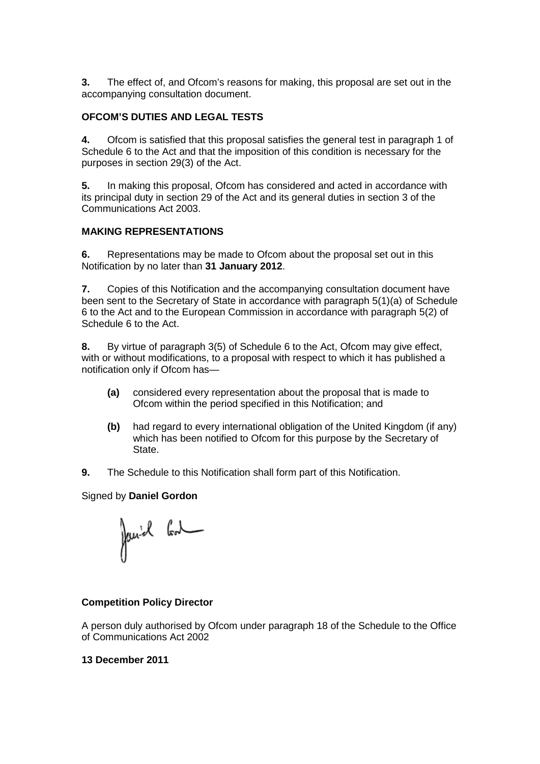**3.** The effect of, and Ofcom's reasons for making, this proposal are set out in the accompanying consultation document.

## **OFCOM'S DUTIES AND LEGAL TESTS**

**4.** Ofcom is satisfied that this proposal satisfies the general test in paragraph 1 of Schedule 6 to the Act and that the imposition of this condition is necessary for the purposes in section 29(3) of the Act.

**5.** In making this proposal, Ofcom has considered and acted in accordance with its principal duty in section 29 of the Act and its general duties in section 3 of the Communications Act 2003.

## **MAKING REPRESENTATIONS**

**6.** Representations may be made to Ofcom about the proposal set out in this Notification by no later than **31 January 2012**.

**7.** Copies of this Notification and the accompanying consultation document have been sent to the Secretary of State in accordance with paragraph 5(1)(a) of Schedule 6 to the Act and to the European Commission in accordance with paragraph 5(2) of Schedule 6 to the Act.

**8.** By virtue of paragraph 3(5) of Schedule 6 to the Act, Ofcom may give effect, with or without modifications, to a proposal with respect to which it has published a notification only if Ofcom has—

- **(a)** considered every representation about the proposal that is made to Ofcom within the period specified in this Notification; and
- **(b)** had regard to every international obligation of the United Kingdom (if any) which has been notified to Ofcom for this purpose by the Secretary of State.
- **9.** The Schedule to this Notification shall form part of this Notification.

Signed by **Daniel Gordon**

Janiel Cont

## **Competition Policy Director**

A person duly authorised by Ofcom under paragraph 18 of the Schedule to the Office of Communications Act 2002

## **13 December 2011**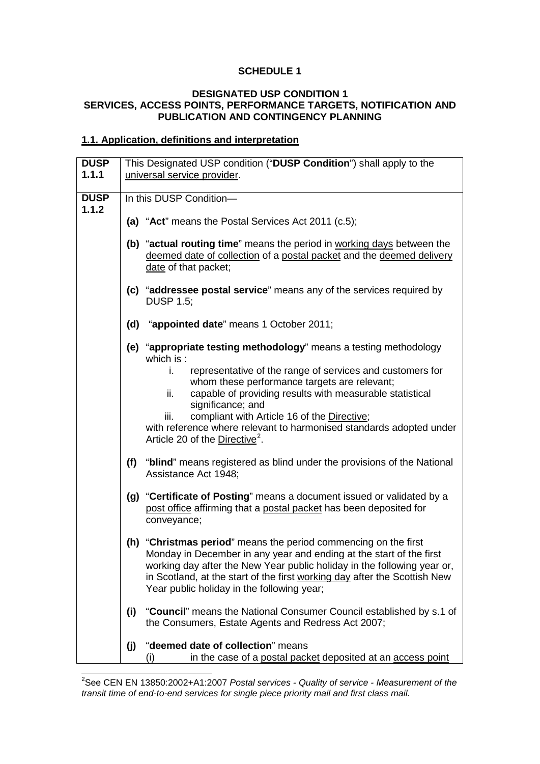## **SCHEDULE 1**

#### **DESIGNATED USP CONDITION 1 SERVICES, ACCESS POINTS, PERFORMANCE TARGETS, NOTIFICATION AND PUBLICATION AND CONTINGENCY PLANNING**

### **1.1. Application, definitions and interpretation**

| <b>DUSP</b>          |     | This Designated USP condition ("DUSP Condition") shall apply to the                                                                                                                                                                                                                                                                                                                 |
|----------------------|-----|-------------------------------------------------------------------------------------------------------------------------------------------------------------------------------------------------------------------------------------------------------------------------------------------------------------------------------------------------------------------------------------|
| 1.1.1                |     | universal service provider.                                                                                                                                                                                                                                                                                                                                                         |
|                      |     |                                                                                                                                                                                                                                                                                                                                                                                     |
| <b>DUSP</b><br>1.1.2 |     | In this DUSP Condition-                                                                                                                                                                                                                                                                                                                                                             |
|                      |     | (a) "Act" means the Postal Services Act 2011 (c.5);                                                                                                                                                                                                                                                                                                                                 |
|                      |     | (b) "actual routing time" means the period in working days between the<br>deemed date of collection of a postal packet and the deemed delivery<br>date of that packet;                                                                                                                                                                                                              |
|                      |     | (c) "addressee postal service" means any of the services required by<br><b>DUSP 1.5;</b>                                                                                                                                                                                                                                                                                            |
|                      | (d) | "appointed date" means 1 October 2011;                                                                                                                                                                                                                                                                                                                                              |
|                      |     | (e) "appropriate testing methodology" means a testing methodology<br>which is :                                                                                                                                                                                                                                                                                                     |
|                      |     | representative of the range of services and customers for<br>i.<br>whom these performance targets are relevant;<br>capable of providing results with measurable statistical<br>ii.<br>significance; and<br>compliant with Article 16 of the Directive;<br>iii.<br>with reference where relevant to harmonised standards adopted under<br>Article 20 of the Directive <sup>2</sup> . |
|                      |     | (f) "blind" means registered as blind under the provisions of the National<br>Assistance Act 1948;                                                                                                                                                                                                                                                                                  |
|                      |     | (g) "Certificate of Posting" means a document issued or validated by a<br>post office affirming that a postal packet has been deposited for<br>conveyance;                                                                                                                                                                                                                          |
|                      |     | (h) "Christmas period" means the period commencing on the first<br>Monday in December in any year and ending at the start of the first<br>working day after the New Year public holiday in the following year or,<br>in Scotland, at the start of the first working day after the Scottish New<br>Year public holiday in the following year;                                        |
|                      | (i) | "Council" means the National Consumer Council established by s.1 of<br>the Consumers, Estate Agents and Redress Act 2007;                                                                                                                                                                                                                                                           |
|                      | (j) | "deemed date of collection" means<br>in the case of a postal packet deposited at an access point<br>(i)                                                                                                                                                                                                                                                                             |

<span id="page-2-0"></span> <sup>2</sup> See CEN EN 13850:2002+A1:2007 *Postal services - Quality of service - Measurement of the transit time of end-to-end services for single piece priority mail and first class mail.*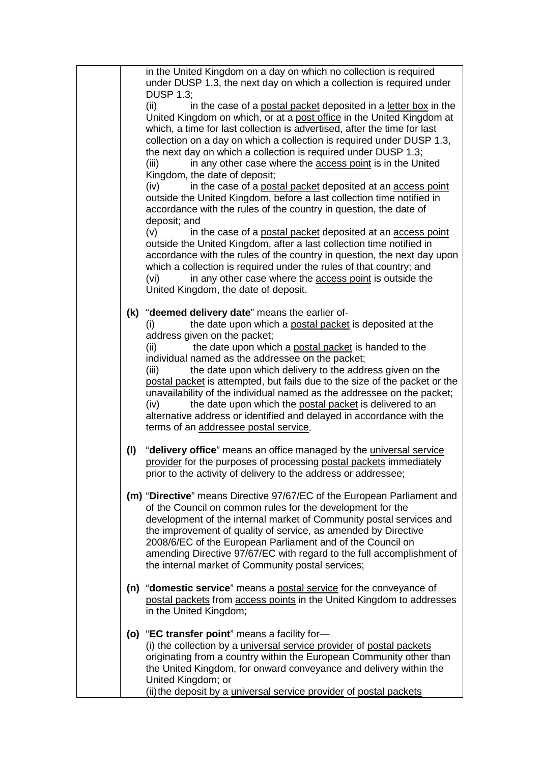|     | in the United Kingdom on a day on which no collection is required<br>under DUSP 1.3, the next day on which a collection is required under<br><b>DUSP 1.3;</b>                                                                                                                                                                                                                                                                                                                                                                                                                                                                                                                            |
|-----|------------------------------------------------------------------------------------------------------------------------------------------------------------------------------------------------------------------------------------------------------------------------------------------------------------------------------------------------------------------------------------------------------------------------------------------------------------------------------------------------------------------------------------------------------------------------------------------------------------------------------------------------------------------------------------------|
|     | in the case of a postal packet deposited in a letter box in the<br>(ii)<br>United Kingdom on which, or at a post office in the United Kingdom at<br>which, a time for last collection is advertised, after the time for last<br>collection on a day on which a collection is required under DUSP 1.3,<br>the next day on which a collection is required under DUSP 1.3;                                                                                                                                                                                                                                                                                                                  |
|     | in any other case where the access point is in the United<br>(iii)<br>Kingdom, the date of deposit;<br>in the case of a postal packet deposited at an access point<br>(iv)<br>outside the United Kingdom, before a last collection time notified in                                                                                                                                                                                                                                                                                                                                                                                                                                      |
|     | accordance with the rules of the country in question, the date of<br>deposit; and<br>in the case of a postal packet deposited at an access point<br>(v)                                                                                                                                                                                                                                                                                                                                                                                                                                                                                                                                  |
|     | outside the United Kingdom, after a last collection time notified in<br>accordance with the rules of the country in question, the next day upon<br>which a collection is required under the rules of that country; and<br>in any other case where the access point is outside the<br>(vi)<br>United Kingdom, the date of deposit.                                                                                                                                                                                                                                                                                                                                                        |
|     | (k) "deemed delivery date" means the earlier of-<br>the date upon which a postal packet is deposited at the<br>(i)<br>address given on the packet;<br>the date upon which a postal packet is handed to the<br>(ii)<br>individual named as the addressee on the packet;<br>the date upon which delivery to the address given on the<br>(iii)<br>postal packet is attempted, but fails due to the size of the packet or the<br>unavailability of the individual named as the addressee on the packet;<br>the date upon which the postal packet is delivered to an<br>(iv)<br>alternative address or identified and delayed in accordance with the<br>terms of an addressee postal service. |
| (1) | "delivery office" means an office managed by the universal service<br>provider for the purposes of processing postal packets immediately<br>prior to the activity of delivery to the address or addressee;                                                                                                                                                                                                                                                                                                                                                                                                                                                                               |
|     | (m) "Directive" means Directive 97/67/EC of the European Parliament and<br>of the Council on common rules for the development for the<br>development of the internal market of Community postal services and<br>the improvement of quality of service, as amended by Directive<br>2008/6/EC of the European Parliament and of the Council on<br>amending Directive 97/67/EC with regard to the full accomplishment of<br>the internal market of Community postal services;                                                                                                                                                                                                               |
|     | (n) "domestic service" means a postal service for the conveyance of<br>postal packets from access points in the United Kingdom to addresses<br>in the United Kingdom;                                                                                                                                                                                                                                                                                                                                                                                                                                                                                                                    |
|     | (o) "EC transfer point" means a facility for-<br>(i) the collection by a <i>universal service provider</i> of postal packets<br>originating from a country within the European Community other than<br>the United Kingdom, for onward conveyance and delivery within the<br>United Kingdom; or<br>(ii) the deposit by a <i>universal service provider</i> of postal packets                                                                                                                                                                                                                                                                                                              |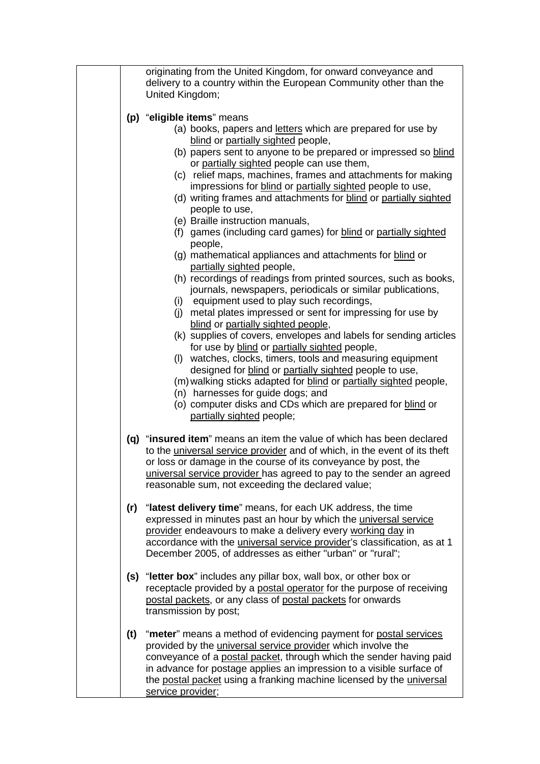|     | originating from the United Kingdom, for onward conveyance and<br>delivery to a country within the European Community other than the<br>United Kingdom;                                                                                                                                                                                                                             |
|-----|-------------------------------------------------------------------------------------------------------------------------------------------------------------------------------------------------------------------------------------------------------------------------------------------------------------------------------------------------------------------------------------|
|     | (p) "eligible items" means                                                                                                                                                                                                                                                                                                                                                          |
|     | (a) books, papers and letters which are prepared for use by<br>blind or partially sighted people,                                                                                                                                                                                                                                                                                   |
|     | (b) papers sent to anyone to be prepared or impressed so blind<br>or partially sighted people can use them,                                                                                                                                                                                                                                                                         |
|     | (c) relief maps, machines, frames and attachments for making<br>impressions for blind or partially sighted people to use,                                                                                                                                                                                                                                                           |
|     | (d) writing frames and attachments for blind or partially sighted<br>people to use,                                                                                                                                                                                                                                                                                                 |
|     | (e) Braille instruction manuals,                                                                                                                                                                                                                                                                                                                                                    |
|     | (f) games (including card games) for blind or partially sighted<br>people,                                                                                                                                                                                                                                                                                                          |
|     | (g) mathematical appliances and attachments for blind or<br>partially sighted people,                                                                                                                                                                                                                                                                                               |
|     | (h) recordings of readings from printed sources, such as books,<br>journals, newspapers, periodicals or similar publications,<br>(i) equipment used to play such recordings,                                                                                                                                                                                                        |
|     | (j) metal plates impressed or sent for impressing for use by                                                                                                                                                                                                                                                                                                                        |
|     | blind or partially sighted people,                                                                                                                                                                                                                                                                                                                                                  |
|     | (k) supplies of covers, envelopes and labels for sending articles<br>for use by blind or partially sighted people,                                                                                                                                                                                                                                                                  |
|     | (I) watches, clocks, timers, tools and measuring equipment                                                                                                                                                                                                                                                                                                                          |
|     | designed for blind or partially sighted people to use,<br>(m) walking sticks adapted for blind or partially sighted people,                                                                                                                                                                                                                                                         |
|     | (n) harnesses for guide dogs; and                                                                                                                                                                                                                                                                                                                                                   |
|     | (o) computer disks and CDs which are prepared for blind or                                                                                                                                                                                                                                                                                                                          |
|     | partially sighted people;                                                                                                                                                                                                                                                                                                                                                           |
|     | (q) "insured item" means an item the value of which has been declared<br>to the universal service provider and of which, in the event of its theft<br>or loss or damage in the course of its conveyance by post, the<br>universal service provider has agreed to pay to the sender an agreed<br>reasonable sum, not exceeding the declared value;                                   |
|     |                                                                                                                                                                                                                                                                                                                                                                                     |
|     | (r) "latest delivery time" means, for each UK address, the time<br>expressed in minutes past an hour by which the universal service<br>provider endeavours to make a delivery every working day in<br>accordance with the <i>universal service provider's</i> classification, as at 1<br>December 2005, of addresses as either "urban" or "rural";                                  |
|     | (s) "letter box" includes any pillar box, wall box, or other box or<br>receptacle provided by a postal operator for the purpose of receiving<br>postal packets, or any class of postal packets for onwards<br>transmission by post;                                                                                                                                                 |
|     |                                                                                                                                                                                                                                                                                                                                                                                     |
| (t) | "meter" means a method of evidencing payment for postal services<br>provided by the <i>universal service provider</i> which involve the<br>conveyance of a postal packet, through which the sender having paid<br>in advance for postage applies an impression to a visible surface of<br>the postal packet using a franking machine licensed by the universal<br>service provider; |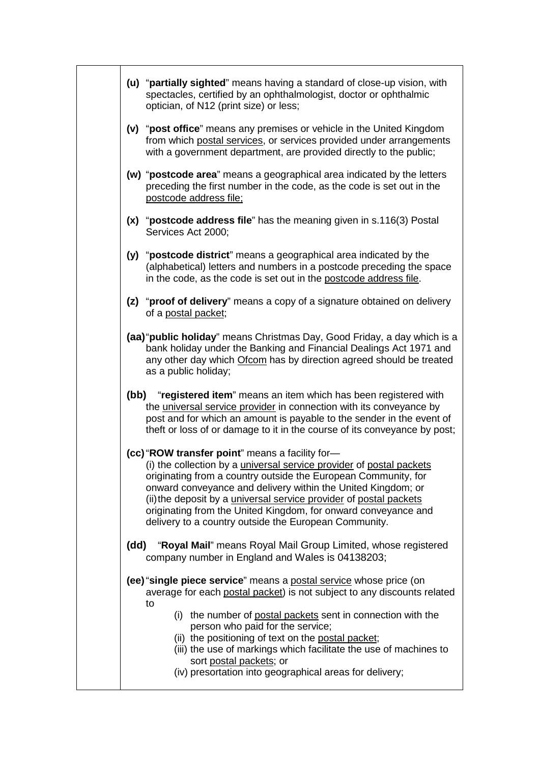| (u) "partially sighted" means having a standard of close-up vision, with<br>spectacles, certified by an ophthalmologist, doctor or ophthalmic<br>optician, of N12 (print size) or less;<br>(v) "post office" means any premises or vehicle in the United Kingdom<br>from which postal services, or services provided under arrangements<br>with a government department, are provided directly to the public;<br>(w) "postcode area" means a geographical area indicated by the letters<br>preceding the first number in the code, as the code is set out in the<br>postcode address file;<br>(x) "postcode address file" has the meaning given in s.116(3) Postal<br>Services Act 2000;<br>(y) "postcode district" means a geographical area indicated by the<br>(alphabetical) letters and numbers in a postcode preceding the space<br>in the code, as the code is set out in the postcode address file.<br>(z) "proof of delivery" means a copy of a signature obtained on delivery<br>of a postal packet;<br>(aa) "public holiday" means Christmas Day, Good Friday, a day which is a<br>bank holiday under the Banking and Financial Dealings Act 1971 and<br>any other day which Ofcom has by direction agreed should be treated<br>as a public holiday;<br>(bb) "registered item" means an item which has been registered with<br>the universal service provider in connection with its conveyance by<br>post and for which an amount is payable to the sender in the event of<br>theft or loss of or damage to it in the course of its conveyance by post;<br>(cc) "ROW transfer point" means a facility for-<br>(i) the collection by a <i>universal service provider</i> of postal packets<br>originating from a country outside the European Community, for<br>onward conveyance and delivery within the United Kingdom; or<br>(ii) the deposit by a <i>universal service provider</i> of postal packets<br>originating from the United Kingdom, for onward conveyance and<br>delivery to a country outside the European Community.<br>"Royal Mail" means Royal Mail Group Limited, whose registered<br>(dd)<br>company number in England and Wales is 04138203;<br>(ee) "single piece service" means a postal service whose price (on<br>average for each postal packet) is not subject to any discounts related<br>to<br>(i) the number of postal packets sent in connection with the<br>person who paid for the service;<br>(ii) the positioning of text on the postal packet;<br>(iii) the use of markings which facilitate the use of machines to<br>sort postal packets; or<br>(iv) presortation into geographical areas for delivery; |
|----------------------------------------------------------------------------------------------------------------------------------------------------------------------------------------------------------------------------------------------------------------------------------------------------------------------------------------------------------------------------------------------------------------------------------------------------------------------------------------------------------------------------------------------------------------------------------------------------------------------------------------------------------------------------------------------------------------------------------------------------------------------------------------------------------------------------------------------------------------------------------------------------------------------------------------------------------------------------------------------------------------------------------------------------------------------------------------------------------------------------------------------------------------------------------------------------------------------------------------------------------------------------------------------------------------------------------------------------------------------------------------------------------------------------------------------------------------------------------------------------------------------------------------------------------------------------------------------------------------------------------------------------------------------------------------------------------------------------------------------------------------------------------------------------------------------------------------------------------------------------------------------------------------------------------------------------------------------------------------------------------------------------------------------------------------------------------------------------------------------------------------------------------------------------------------------------------------------------------------------------------------------------------------------------------------------------------------------------------------------------------------------------------------------------------------------------------------------------------------------------------------------------------------------------------------------------------------------------------------------------------------------------------|
|                                                                                                                                                                                                                                                                                                                                                                                                                                                                                                                                                                                                                                                                                                                                                                                                                                                                                                                                                                                                                                                                                                                                                                                                                                                                                                                                                                                                                                                                                                                                                                                                                                                                                                                                                                                                                                                                                                                                                                                                                                                                                                                                                                                                                                                                                                                                                                                                                                                                                                                                                                                                                                                          |
|                                                                                                                                                                                                                                                                                                                                                                                                                                                                                                                                                                                                                                                                                                                                                                                                                                                                                                                                                                                                                                                                                                                                                                                                                                                                                                                                                                                                                                                                                                                                                                                                                                                                                                                                                                                                                                                                                                                                                                                                                                                                                                                                                                                                                                                                                                                                                                                                                                                                                                                                                                                                                                                          |
|                                                                                                                                                                                                                                                                                                                                                                                                                                                                                                                                                                                                                                                                                                                                                                                                                                                                                                                                                                                                                                                                                                                                                                                                                                                                                                                                                                                                                                                                                                                                                                                                                                                                                                                                                                                                                                                                                                                                                                                                                                                                                                                                                                                                                                                                                                                                                                                                                                                                                                                                                                                                                                                          |
|                                                                                                                                                                                                                                                                                                                                                                                                                                                                                                                                                                                                                                                                                                                                                                                                                                                                                                                                                                                                                                                                                                                                                                                                                                                                                                                                                                                                                                                                                                                                                                                                                                                                                                                                                                                                                                                                                                                                                                                                                                                                                                                                                                                                                                                                                                                                                                                                                                                                                                                                                                                                                                                          |
|                                                                                                                                                                                                                                                                                                                                                                                                                                                                                                                                                                                                                                                                                                                                                                                                                                                                                                                                                                                                                                                                                                                                                                                                                                                                                                                                                                                                                                                                                                                                                                                                                                                                                                                                                                                                                                                                                                                                                                                                                                                                                                                                                                                                                                                                                                                                                                                                                                                                                                                                                                                                                                                          |
|                                                                                                                                                                                                                                                                                                                                                                                                                                                                                                                                                                                                                                                                                                                                                                                                                                                                                                                                                                                                                                                                                                                                                                                                                                                                                                                                                                                                                                                                                                                                                                                                                                                                                                                                                                                                                                                                                                                                                                                                                                                                                                                                                                                                                                                                                                                                                                                                                                                                                                                                                                                                                                                          |
|                                                                                                                                                                                                                                                                                                                                                                                                                                                                                                                                                                                                                                                                                                                                                                                                                                                                                                                                                                                                                                                                                                                                                                                                                                                                                                                                                                                                                                                                                                                                                                                                                                                                                                                                                                                                                                                                                                                                                                                                                                                                                                                                                                                                                                                                                                                                                                                                                                                                                                                                                                                                                                                          |
|                                                                                                                                                                                                                                                                                                                                                                                                                                                                                                                                                                                                                                                                                                                                                                                                                                                                                                                                                                                                                                                                                                                                                                                                                                                                                                                                                                                                                                                                                                                                                                                                                                                                                                                                                                                                                                                                                                                                                                                                                                                                                                                                                                                                                                                                                                                                                                                                                                                                                                                                                                                                                                                          |
|                                                                                                                                                                                                                                                                                                                                                                                                                                                                                                                                                                                                                                                                                                                                                                                                                                                                                                                                                                                                                                                                                                                                                                                                                                                                                                                                                                                                                                                                                                                                                                                                                                                                                                                                                                                                                                                                                                                                                                                                                                                                                                                                                                                                                                                                                                                                                                                                                                                                                                                                                                                                                                                          |
|                                                                                                                                                                                                                                                                                                                                                                                                                                                                                                                                                                                                                                                                                                                                                                                                                                                                                                                                                                                                                                                                                                                                                                                                                                                                                                                                                                                                                                                                                                                                                                                                                                                                                                                                                                                                                                                                                                                                                                                                                                                                                                                                                                                                                                                                                                                                                                                                                                                                                                                                                                                                                                                          |
|                                                                                                                                                                                                                                                                                                                                                                                                                                                                                                                                                                                                                                                                                                                                                                                                                                                                                                                                                                                                                                                                                                                                                                                                                                                                                                                                                                                                                                                                                                                                                                                                                                                                                                                                                                                                                                                                                                                                                                                                                                                                                                                                                                                                                                                                                                                                                                                                                                                                                                                                                                                                                                                          |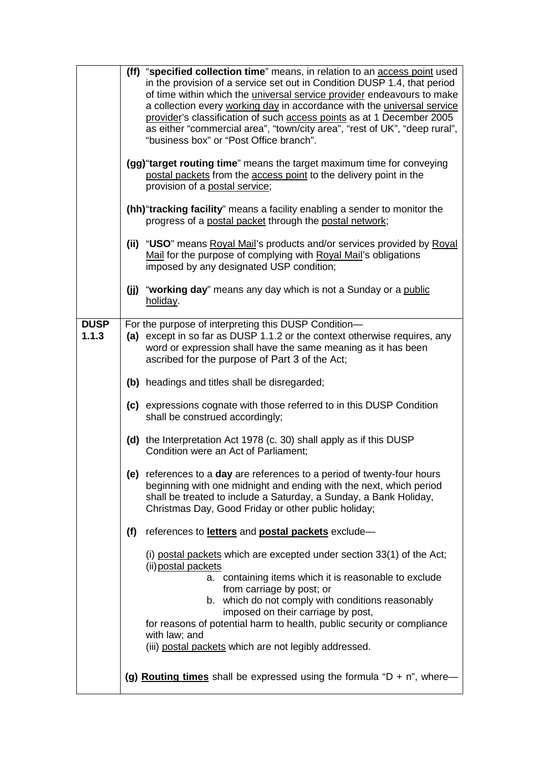|                      | (ff) "specified collection time" means, in relation to an access point used<br>in the provision of a service set out in Condition DUSP 1.4, that period<br>of time within which the <i>universal service provider</i> endeavours to make<br>a collection every working day in accordance with the universal service<br>provider's classification of such access points as at 1 December 2005<br>as either "commercial area", "town/city area", "rest of UK", "deep rural",<br>"business box" or "Post Office branch". |
|----------------------|-----------------------------------------------------------------------------------------------------------------------------------------------------------------------------------------------------------------------------------------------------------------------------------------------------------------------------------------------------------------------------------------------------------------------------------------------------------------------------------------------------------------------|
|                      | (gg) "target routing time" means the target maximum time for conveying<br>postal packets from the access point to the delivery point in the<br>provision of a postal service;                                                                                                                                                                                                                                                                                                                                         |
|                      | (hh) "tracking facility" means a facility enabling a sender to monitor the<br>progress of a postal packet through the postal network;                                                                                                                                                                                                                                                                                                                                                                                 |
|                      | (ii) "USO" means Royal Mail's products and/or services provided by Royal<br>Mail for the purpose of complying with Royal Mail's obligations<br>imposed by any designated USP condition;                                                                                                                                                                                                                                                                                                                               |
|                      | (ij) "working day" means any day which is not a Sunday or a public<br>holiday.                                                                                                                                                                                                                                                                                                                                                                                                                                        |
| <b>DUSP</b><br>1.1.3 | For the purpose of interpreting this DUSP Condition-<br>(a) except in so far as DUSP 1.1.2 or the context otherwise requires, any<br>word or expression shall have the same meaning as it has been<br>ascribed for the purpose of Part 3 of the Act;                                                                                                                                                                                                                                                                  |
|                      | (b) headings and titles shall be disregarded;                                                                                                                                                                                                                                                                                                                                                                                                                                                                         |
|                      | (c) expressions cognate with those referred to in this DUSP Condition<br>shall be construed accordingly;                                                                                                                                                                                                                                                                                                                                                                                                              |
|                      | (d) the Interpretation Act 1978 (c. 30) shall apply as if this DUSP<br>Condition were an Act of Parliament;                                                                                                                                                                                                                                                                                                                                                                                                           |
|                      | (e) references to a day are references to a period of twenty-four hours<br>beginning with one midnight and ending with the next, which period<br>shall be treated to include a Saturday, a Sunday, a Bank Holiday,<br>Christmas Day, Good Friday or other public holiday;                                                                                                                                                                                                                                             |
|                      | (f)<br>references to <b>letters</b> and <b>postal packets</b> exclude-                                                                                                                                                                                                                                                                                                                                                                                                                                                |
|                      | (i) postal packets which are excepted under section 33(1) of the Act;<br>(ii) postal packets<br>a. containing items which it is reasonable to exclude<br>from carriage by post; or<br>b. which do not comply with conditions reasonably<br>imposed on their carriage by post,<br>for reasons of potential harm to health, public security or compliance<br>with law; and<br>(iii) postal packets which are not legibly addressed.                                                                                     |
|                      | (g) Routing times shall be expressed using the formula " $D + n$ ", where-                                                                                                                                                                                                                                                                                                                                                                                                                                            |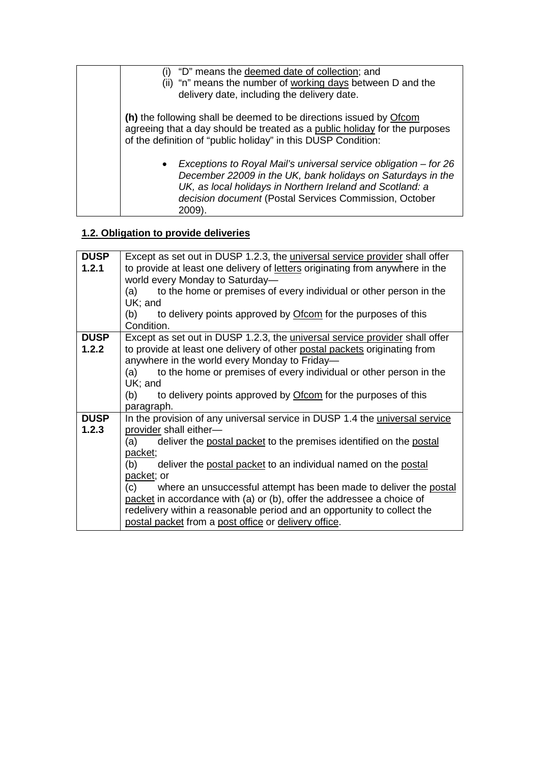| (i) "D" means the deemed date of collection; and<br>(ii) "n" means the number of working days between D and the<br>delivery date, including the delivery date.                                                                                                                |
|-------------------------------------------------------------------------------------------------------------------------------------------------------------------------------------------------------------------------------------------------------------------------------|
| (h) the following shall be deemed to be directions issued by Ofcom<br>agreeing that a day should be treated as a public holiday for the purposes<br>of the definition of "public holiday" in this DUSP Condition:                                                             |
| Exceptions to Royal Mail's universal service obligation – for 26<br>$\bullet$<br>December 22009 in the UK, bank holidays on Saturdays in the<br>UK, as local holidays in Northern Ireland and Scotland: a<br>decision document (Postal Services Commission, October<br>2009). |

## **1.2. Obligation to provide deliveries**

| Except as set out in DUSP 1.2.3, the <i>universal service provider</i> shall offer |  |
|------------------------------------------------------------------------------------|--|
| to provide at least one delivery of letters originating from anywhere in the       |  |
| world every Monday to Saturday-                                                    |  |
| to the home or premises of every individual or other person in the<br>(a)          |  |
| UK; and                                                                            |  |
| to delivery points approved by Ofcom for the purposes of this<br>(b)               |  |
| Condition.                                                                         |  |
| Except as set out in DUSP 1.2.3, the <i>universal service provider</i> shall offer |  |
| to provide at least one delivery of other postal packets originating from          |  |
| anywhere in the world every Monday to Friday-                                      |  |
| to the home or premises of every individual or other person in the<br>(a)          |  |
| UK; and                                                                            |  |
| to delivery points approved by Ofcom for the purposes of this<br>(b)               |  |
| paragraph.                                                                         |  |
| In the provision of any universal service in DUSP 1.4 the universal service        |  |
| provider shall either-                                                             |  |
| deliver the postal packet to the premises identified on the postal<br>(a)          |  |
| packet;                                                                            |  |
| (b)<br>deliver the postal packet to an individual named on the postal              |  |
| packet; or                                                                         |  |
| where an unsuccessful attempt has been made to deliver the postal<br>(c)           |  |
| packet in accordance with (a) or (b), offer the addressee a choice of              |  |
| redelivery within a reasonable period and an opportunity to collect the            |  |
| postal packet from a post office or delivery office.                               |  |
|                                                                                    |  |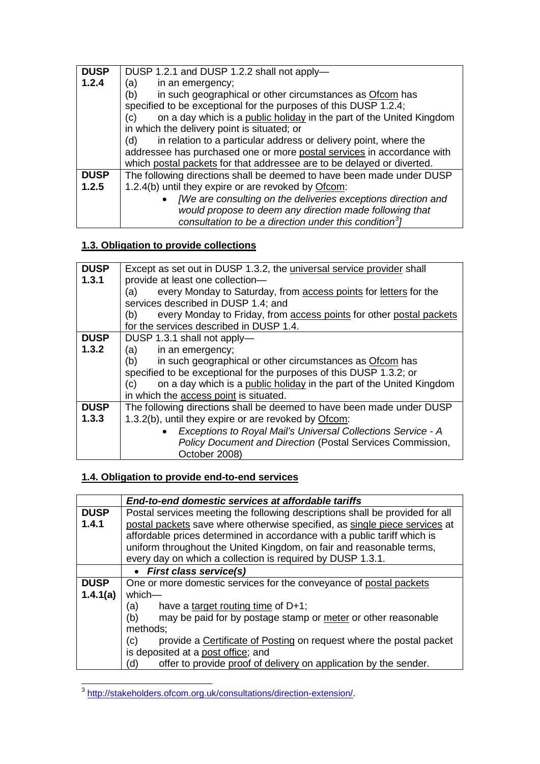| <b>DUSP</b> | DUSP 1.2.1 and DUSP 1.2.2 shall not apply-                                  |
|-------------|-----------------------------------------------------------------------------|
| 1.2.4       | (a)<br>in an emergency;                                                     |
|             | in such geographical or other circumstances as Ofcom has<br>(b)             |
|             | specified to be exceptional for the purposes of this DUSP 1.2.4;            |
|             | on a day which is a public holiday in the part of the United Kingdom<br>(C) |
|             | in which the delivery point is situated; or                                 |
|             | in relation to a particular address or delivery point, where the<br>(d)     |
|             | addressee has purchased one or more postal services in accordance with      |
|             | which postal packets for that addressee are to be delayed or diverted.      |
| <b>DUSP</b> | The following directions shall be deemed to have been made under DUSP       |
| 1.2.5       | 1.2.4(b) until they expire or are revoked by Ofcom:                         |
|             | [We are consulting on the deliveries exceptions direction and               |
|             | would propose to deem any direction made following that                     |
|             | consultation to be a direction under this condition <sup>3</sup>            |

## **1.3. Obligation to provide collections**

| <b>DUSP</b> | Except as set out in DUSP 1.3.2, the universal service provider shall       |  |
|-------------|-----------------------------------------------------------------------------|--|
| 1.3.1       | provide at least one collection-                                            |  |
|             | every Monday to Saturday, from access points for letters for the<br>(a)     |  |
|             | services described in DUSP 1.4; and                                         |  |
|             | every Monday to Friday, from access points for other postal packets<br>(b)  |  |
|             | for the services described in DUSP 1.4.                                     |  |
| <b>DUSP</b> | DUSP 1.3.1 shall not apply-                                                 |  |
| 1.3.2       | in an emergency;<br>(a)                                                     |  |
|             | in such geographical or other circumstances as Ofcom has<br>(b)             |  |
|             | specified to be exceptional for the purposes of this DUSP 1.3.2; or         |  |
|             | on a day which is a public holiday in the part of the United Kingdom<br>(C) |  |
|             | in which the access point is situated.                                      |  |
| <b>DUSP</b> | The following directions shall be deemed to have been made under DUSP       |  |
| 1.3.3       | 1.3.2(b), until they expire or are revoked by Ofcom:                        |  |
|             | Exceptions to Royal Mail's Universal Collections Service - A                |  |
|             | <b>Policy Document and Direction (Postal Services Commission,</b>           |  |
|             | October 2008)                                                               |  |

## **1.4. Obligation to provide end-to-end services**

| End-to-end domestic services at affordable tariffs                           |  |
|------------------------------------------------------------------------------|--|
| Postal services meeting the following descriptions shall be provided for all |  |
| postal packets save where otherwise specified, as single piece services at   |  |
| affordable prices determined in accordance with a public tariff which is     |  |
| uniform throughout the United Kingdom, on fair and reasonable terms,         |  |
| every day on which a collection is required by DUSP 1.3.1.                   |  |
| • First class service(s)                                                     |  |
| One or more domestic services for the conveyance of postal packets           |  |
| $which$ —                                                                    |  |
| have a target routing time of $D+1$ ;<br>(a)                                 |  |
| may be paid for by postage stamp or meter or other reasonable<br>(b)         |  |
| methods:                                                                     |  |
| provide a Certificate of Posting on request where the postal packet<br>(c)   |  |
| is deposited at a post office; and                                           |  |
| offer to provide proof of delivery on application by the sender.<br>(d)      |  |
|                                                                              |  |

<span id="page-8-0"></span>3 [http://stakeholders.ofcom.org.uk/consultations/direction-extension/.](http://stakeholders.ofcom.org.uk/consultations/direction-extension/)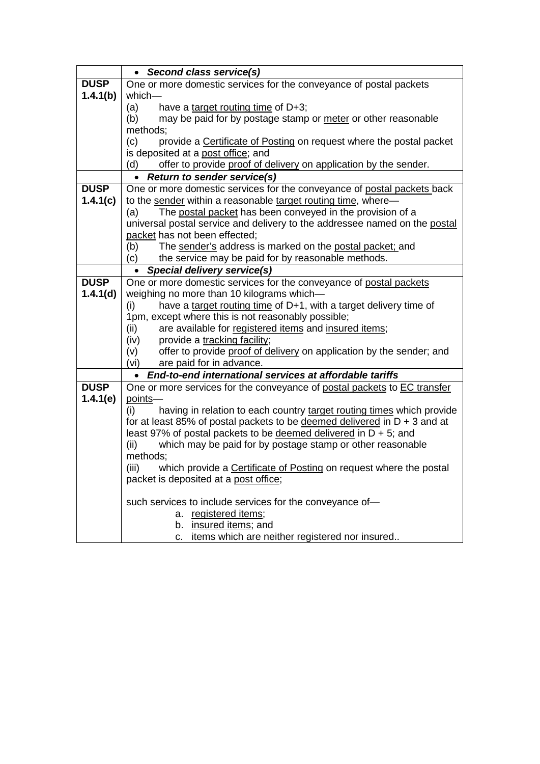|             | • Second class service(s)                                                    |
|-------------|------------------------------------------------------------------------------|
| <b>DUSP</b> | One or more domestic services for the conveyance of postal packets           |
| 1.4.1(b)    | which-                                                                       |
|             | have a target routing time of D+3;<br>(a)                                    |
|             | may be paid for by postage stamp or meter or other reasonable<br>(b)         |
|             | methods;                                                                     |
|             | provide a Certificate of Posting on request where the postal packet<br>(c)   |
|             | is deposited at a post office; and                                           |
|             | offer to provide proof of delivery on application by the sender.<br>(d)      |
|             | • Return to sender service(s)                                                |
| <b>DUSP</b> | One or more domestic services for the conveyance of postal packets back      |
| 1.4.1(c)    | to the sender within a reasonable target routing time, where-                |
|             | The postal packet has been conveyed in the provision of a<br>(a)             |
|             | universal postal service and delivery to the addressee named on the postal   |
|             | packet has not been effected;                                                |
|             | The sender's address is marked on the postal packet; and<br>(b)              |
|             | the service may be paid for by reasonable methods.<br>(c)                    |
|             | • Special delivery service(s)                                                |
| <b>DUSP</b> | One or more domestic services for the conveyance of postal packets           |
| 1.4.1(d)    | weighing no more than 10 kilograms which-                                    |
|             | have a target routing time of D+1, with a target delivery time of<br>(i)     |
|             | 1pm, except where this is not reasonably possible;                           |
|             | (ii)<br>are available for registered items and insured items;                |
|             | (iv)<br>provide a tracking facility;                                         |
|             | offer to provide proof of delivery on application by the sender; and<br>(v)  |
|             | are paid for in advance.<br>(vi)                                             |
|             | End-to-end international services at affordable tariffs                      |
| <b>DUSP</b> | One or more services for the conveyance of postal packets to EC transfer     |
| 1.4.1(e)    | points-                                                                      |
|             | having in relation to each country target routing times which provide<br>(i) |
|             | for at least 85% of postal packets to be deemed delivered in $D + 3$ and at  |
|             | least 97% of postal packets to be deemed delivered in D + 5; and             |
|             | which may be paid for by postage stamp or other reasonable<br>(ii)           |
|             | methods;                                                                     |
|             | (iii)<br>which provide a Certificate of Posting on request where the postal  |
|             | packet is deposited at a post office;                                        |
|             | such services to include services for the conveyance of-                     |
|             | a. registered items;                                                         |
|             | b. insured items; and                                                        |
|             | items which are neither registered nor insured<br>C.                         |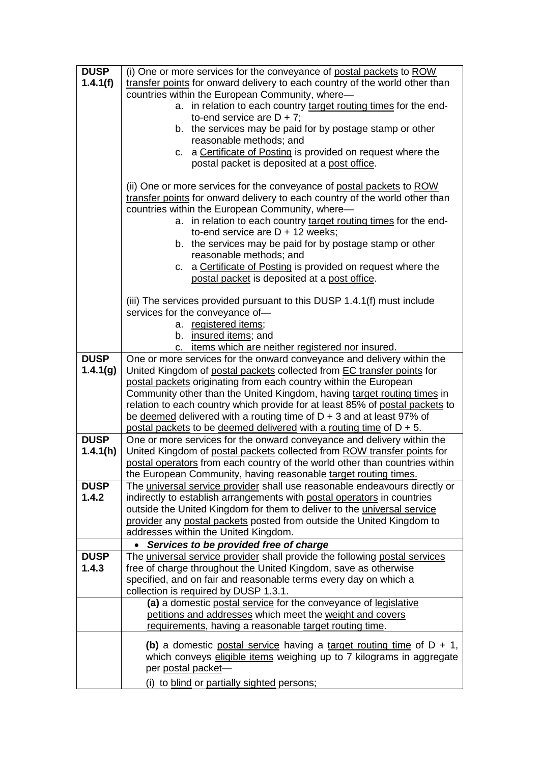| <b>DUSP</b> | (i) One or more services for the conveyance of postal packets to ROW                                                                                   |
|-------------|--------------------------------------------------------------------------------------------------------------------------------------------------------|
| 1.4.1(f)    | transfer points for onward delivery to each country of the world other than                                                                            |
|             | countries within the European Community, where-                                                                                                        |
|             | a. in relation to each country target routing times for the end-<br>to-end service are $D + 7$ ;                                                       |
|             | b. the services may be paid for by postage stamp or other                                                                                              |
|             | reasonable methods; and                                                                                                                                |
|             | c. a Certificate of Posting is provided on request where the                                                                                           |
|             | postal packet is deposited at a post office.                                                                                                           |
|             |                                                                                                                                                        |
|             | (ii) One or more services for the conveyance of postal packets to ROW                                                                                  |
|             | transfer points for onward delivery to each country of the world other than                                                                            |
|             | countries within the European Community, where-                                                                                                        |
|             | a. in relation to each country target routing times for the end-<br>to-end service are $D + 12$ weeks;                                                 |
|             | b. the services may be paid for by postage stamp or other                                                                                              |
|             | reasonable methods; and                                                                                                                                |
|             | c. a Certificate of Posting is provided on request where the                                                                                           |
|             | postal packet is deposited at a post office.                                                                                                           |
|             |                                                                                                                                                        |
|             | (iii) The services provided pursuant to this DUSP 1.4.1(f) must include                                                                                |
|             | services for the conveyance of-                                                                                                                        |
|             | a. registered items;<br>b. insured items; and                                                                                                          |
|             | items which are neither registered nor insured.<br>C.                                                                                                  |
| <b>DUSP</b> | One or more services for the onward conveyance and delivery within the                                                                                 |
| 1.4.1(g)    | United Kingdom of postal packets collected from EC transfer points for                                                                                 |
|             | postal packets originating from each country within the European                                                                                       |
|             | Community other than the United Kingdom, having target routing times in                                                                                |
|             | relation to each country which provide for at least 85% of postal packets to                                                                           |
|             | be deemed delivered with a routing time of $D + 3$ and at least 97% of                                                                                 |
|             | postal packets to be deemed delivered with a routing time of D + 5.                                                                                    |
| <b>DUSP</b> | One or more services for the onward conveyance and delivery within the                                                                                 |
| 1.4.1(h)    | United Kingdom of postal packets collected from ROW transfer points for<br>postal operators from each country of the world other than countries within |
|             | the European Community, having reasonable target routing times.                                                                                        |
| <b>DUSP</b> | The universal service provider shall use reasonable endeavours directly or                                                                             |
| 1.4.2       | indirectly to establish arrangements with postal operators in countries                                                                                |
|             | outside the United Kingdom for them to deliver to the universal service                                                                                |
|             | provider any postal packets posted from outside the United Kingdom to                                                                                  |
|             | addresses within the United Kingdom.                                                                                                                   |
|             | Services to be provided free of charge                                                                                                                 |
| <b>DUSP</b> | The universal service provider shall provide the following postal services                                                                             |
| 1.4.3       | free of charge throughout the United Kingdom, save as otherwise                                                                                        |
|             | specified, and on fair and reasonable terms every day on which a                                                                                       |
|             | collection is required by DUSP 1.3.1.<br>(a) a domestic postal service for the conveyance of legislative                                               |
|             | petitions and addresses which meet the weight and covers                                                                                               |
|             | requirements, having a reasonable target routing time.                                                                                                 |
|             |                                                                                                                                                        |
|             | (b) a domestic postal service having a target routing time of $D + 1$ ,                                                                                |
|             | which conveys eligible items weighing up to 7 kilograms in aggregate                                                                                   |
|             | per postal packet-                                                                                                                                     |
|             | (i) to blind or partially sighted persons;                                                                                                             |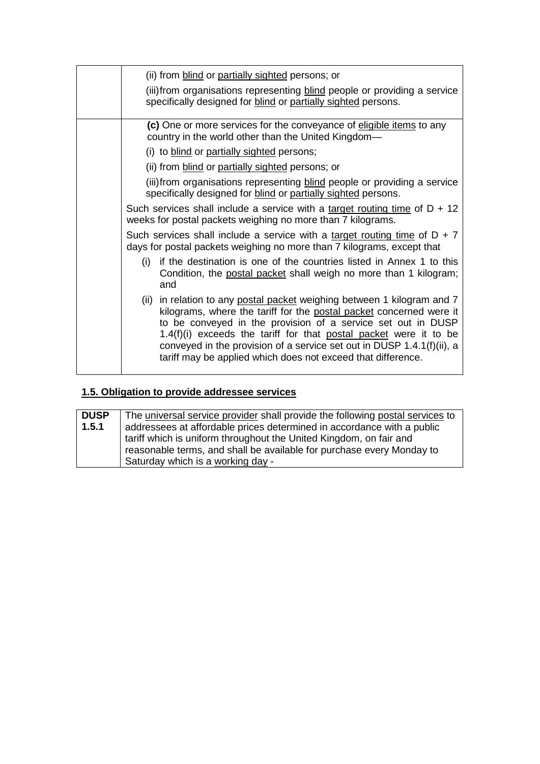| (ii) from blind or partially sighted persons; or                                                                                                                                                                                                                                                                                                                                                                              |
|-------------------------------------------------------------------------------------------------------------------------------------------------------------------------------------------------------------------------------------------------------------------------------------------------------------------------------------------------------------------------------------------------------------------------------|
| (iii)from organisations representing blind people or providing a service<br>specifically designed for blind or partially sighted persons.                                                                                                                                                                                                                                                                                     |
| (c) One or more services for the conveyance of eligible items to any<br>country in the world other than the United Kingdom-                                                                                                                                                                                                                                                                                                   |
| (i) to blind or partially sighted persons;                                                                                                                                                                                                                                                                                                                                                                                    |
| (ii) from blind or partially sighted persons; or                                                                                                                                                                                                                                                                                                                                                                              |
| (iii)from organisations representing blind people or providing a service<br>specifically designed for blind or partially sighted persons.                                                                                                                                                                                                                                                                                     |
| Such services shall include a service with a target routing time of $D + 12$<br>weeks for postal packets weighing no more than 7 kilograms.                                                                                                                                                                                                                                                                                   |
| Such services shall include a service with a target routing time of $D + 7$<br>days for postal packets weighing no more than 7 kilograms, except that                                                                                                                                                                                                                                                                         |
| if the destination is one of the countries listed in Annex 1 to this<br>(i)<br>Condition, the postal packet shall weigh no more than 1 kilogram;<br>and                                                                                                                                                                                                                                                                       |
| (ii) in relation to any postal packet weighing between 1 kilogram and 7<br>kilograms, where the tariff for the postal packet concerned were it<br>to be conveyed in the provision of a service set out in DUSP<br>1.4(f)(i) exceeds the tariff for that postal packet were it to be<br>conveyed in the provision of a service set out in DUSP 1.4.1(f)(ii), a<br>tariff may be applied which does not exceed that difference. |

## **1.5. Obligation to provide addressee services**

| <b>DUSP</b><br>1.5.1 | The universal service provider shall provide the following postal services to<br>addressees at affordable prices determined in accordance with a public<br>tariff which is uniform throughout the United Kingdom, on fair and<br>reasonable terms, and shall be available for purchase every Monday to |
|----------------------|--------------------------------------------------------------------------------------------------------------------------------------------------------------------------------------------------------------------------------------------------------------------------------------------------------|
|                      | Saturday which is a working day -                                                                                                                                                                                                                                                                      |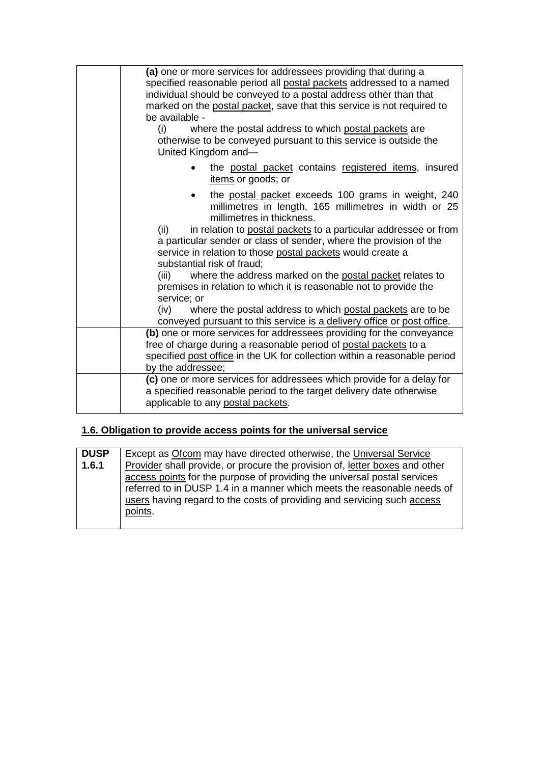| (a) one or more services for addressees providing that during a<br>specified reasonable period all postal packets addressed to a named<br>individual should be conveyed to a postal address other than that<br>marked on the postal packet, save that this service is not required to<br>be available -<br>(i)<br>where the postal address to which postal packets are<br>otherwise to be conveyed pursuant to this service is outside the<br>United Kingdom and-                                                                                                                                                                                                                              |
|------------------------------------------------------------------------------------------------------------------------------------------------------------------------------------------------------------------------------------------------------------------------------------------------------------------------------------------------------------------------------------------------------------------------------------------------------------------------------------------------------------------------------------------------------------------------------------------------------------------------------------------------------------------------------------------------|
| the postal packet contains registered items, insured<br>items or goods; or                                                                                                                                                                                                                                                                                                                                                                                                                                                                                                                                                                                                                     |
| the postal packet exceeds 100 grams in weight, 240<br>millimetres in length, 165 millimetres in width or 25<br>millimetres in thickness.<br>in relation to postal packets to a particular addressee or from<br>(ii)<br>a particular sender or class of sender, where the provision of the<br>service in relation to those postal packets would create a<br>substantial risk of fraud;<br>where the address marked on the postal packet relates to<br>(iii)<br>premises in relation to which it is reasonable not to provide the<br>service; or<br>where the postal address to which postal packets are to be<br>(iv)<br>conveyed pursuant to this service is a delivery office or post office. |
| (b) one or more services for addressees providing for the conveyance<br>free of charge during a reasonable period of postal packets to a<br>specified post office in the UK for collection within a reasonable period<br>by the addressee;                                                                                                                                                                                                                                                                                                                                                                                                                                                     |
| (c) one or more services for addressees which provide for a delay for<br>a specified reasonable period to the target delivery date otherwise<br>applicable to any postal packets.                                                                                                                                                                                                                                                                                                                                                                                                                                                                                                              |

## **1.6. Obligation to provide access points for the universal service**

| <b>DUSP</b> | Except as Ofcom may have directed otherwise, the Universal Service          |
|-------------|-----------------------------------------------------------------------------|
| 1.6.1       | Provider shall provide, or procure the provision of, letter boxes and other |
|             | access points for the purpose of providing the universal postal services    |
|             | referred to in DUSP 1.4 in a manner which meets the reasonable needs of     |
|             | users having regard to the costs of providing and servicing such access     |
|             | points.                                                                     |
|             |                                                                             |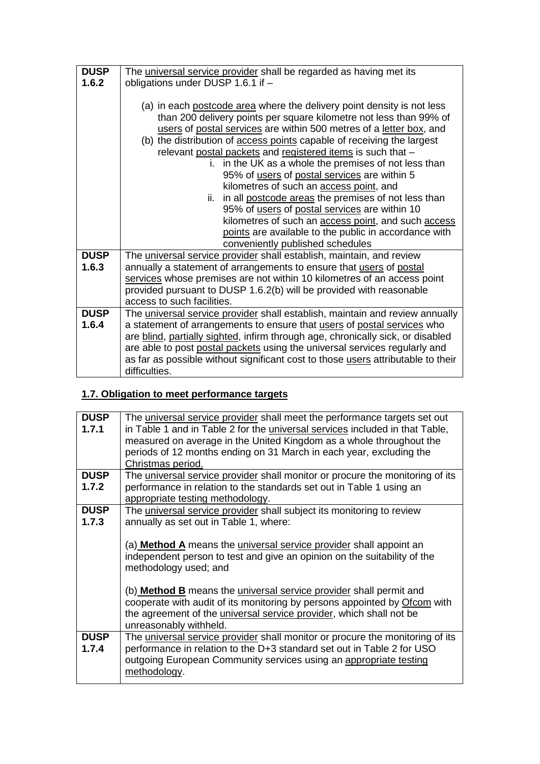| <b>DUSP</b><br>1.6.2 | The universal service provider shall be regarded as having met its<br>obligations under DUSP 1.6.1 if -                                                                                                                                                                                                                                                                                                                                                                                                                                                                                                                                                                                                                                                                             |
|----------------------|-------------------------------------------------------------------------------------------------------------------------------------------------------------------------------------------------------------------------------------------------------------------------------------------------------------------------------------------------------------------------------------------------------------------------------------------------------------------------------------------------------------------------------------------------------------------------------------------------------------------------------------------------------------------------------------------------------------------------------------------------------------------------------------|
|                      | (a) in each postcode area where the delivery point density is not less<br>than 200 delivery points per square kilometre not less than 99% of<br>users of postal services are within 500 metres of a letter box, and<br>(b) the distribution of access points capable of receiving the largest<br>relevant postal packets and registered items is such that -<br>i. in the UK as a whole the premises of not less than<br>95% of users of postal services are within 5<br>kilometres of such an access point, and<br>in all postcode areas the premises of not less than<br>ii.<br>95% of users of postal services are within 10<br>kilometres of such an access point, and such access<br>points are available to the public in accordance with<br>conveniently published schedules |
| <b>DUSP</b><br>1.6.3 | The universal service provider shall establish, maintain, and review<br>annually a statement of arrangements to ensure that users of postal<br>services whose premises are not within 10 kilometres of an access point<br>provided pursuant to DUSP 1.6.2(b) will be provided with reasonable<br>access to such facilities.                                                                                                                                                                                                                                                                                                                                                                                                                                                         |
| <b>DUSP</b><br>1.6.4 | The universal service provider shall establish, maintain and review annually<br>a statement of arrangements to ensure that users of postal services who<br>are blind, partially sighted, infirm through age, chronically sick, or disabled<br>are able to post postal packets using the universal services regularly and<br>as far as possible without significant cost to those users attributable to their<br>difficulties.                                                                                                                                                                                                                                                                                                                                                       |

# **1.7. Obligation to meet performance targets**

| <b>DUSP</b><br>1.7.1 | The universal service provider shall meet the performance targets set out<br>in Table 1 and in Table 2 for the <i>universal services</i> included in that Table,<br>measured on average in the United Kingdom as a whole throughout the<br>periods of 12 months ending on 31 March in each year, excluding the<br>Christmas period.                                                                                                                                                                                                                    |
|----------------------|--------------------------------------------------------------------------------------------------------------------------------------------------------------------------------------------------------------------------------------------------------------------------------------------------------------------------------------------------------------------------------------------------------------------------------------------------------------------------------------------------------------------------------------------------------|
| <b>DUSP</b><br>1.7.2 | The universal service provider shall monitor or procure the monitoring of its<br>performance in relation to the standards set out in Table 1 using an<br>appropriate testing methodology.                                                                                                                                                                                                                                                                                                                                                              |
| <b>DUSP</b><br>1.7.3 | The universal service provider shall subject its monitoring to review<br>annually as set out in Table 1, where:<br>(a) Method A means the universal service provider shall appoint an<br>independent person to test and give an opinion on the suitability of the<br>methodology used; and<br>(b) Method B means the universal service provider shall permit and<br>cooperate with audit of its monitoring by persons appointed by Ofcom with<br>the agreement of the <i>universal service provider</i> , which shall not be<br>unreasonably withheld. |
| <b>DUSP</b><br>1.7.4 | The universal service provider shall monitor or procure the monitoring of its<br>performance in relation to the D+3 standard set out in Table 2 for USO<br>outgoing European Community services using an appropriate testing<br>methodology.                                                                                                                                                                                                                                                                                                           |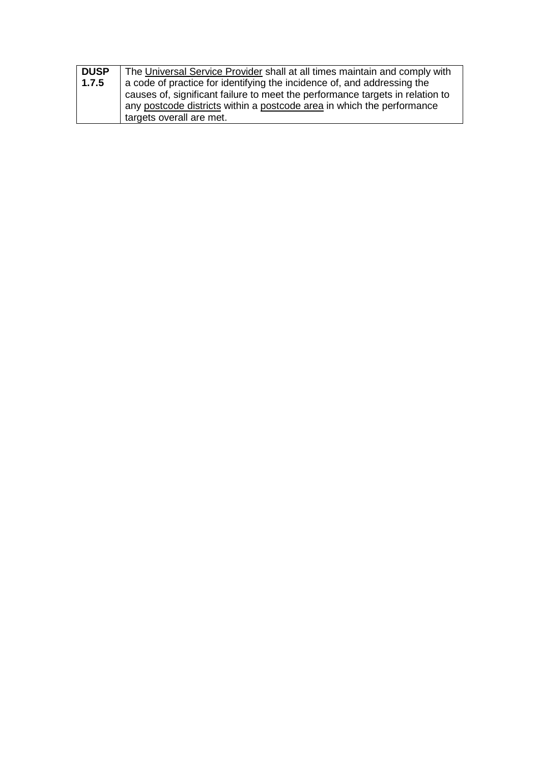| <b>DUSP</b> | The Universal Service Provider shall at all times maintain and comply with    |
|-------------|-------------------------------------------------------------------------------|
| 1.7.5       | a code of practice for identifying the incidence of, and addressing the       |
|             | causes of, significant failure to meet the performance targets in relation to |
|             | any postcode districts within a postcode area in which the performance        |
|             | targets overall are met.                                                      |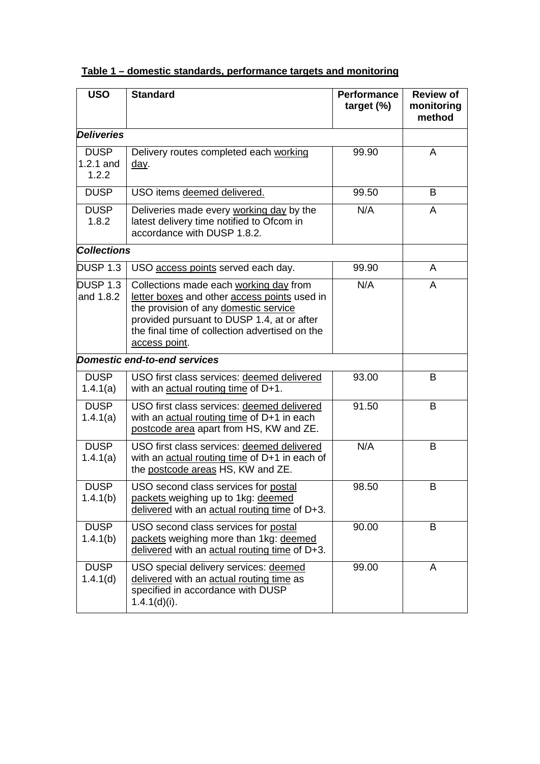| <b>USO</b>                          | <b>Standard</b>                                                                                                                                                                                                                                  | <b>Performance</b><br>target (%) | <b>Review of</b><br>monitoring<br>method |
|-------------------------------------|--------------------------------------------------------------------------------------------------------------------------------------------------------------------------------------------------------------------------------------------------|----------------------------------|------------------------------------------|
| <b>Deliveries</b>                   |                                                                                                                                                                                                                                                  |                                  |                                          |
| <b>DUSP</b><br>$1.2.1$ and<br>1.2.2 | Delivery routes completed each working<br>day.                                                                                                                                                                                                   | 99.90                            | A                                        |
| <b>DUSP</b>                         | USO items deemed delivered.                                                                                                                                                                                                                      | 99.50                            | B                                        |
| <b>DUSP</b><br>1.8.2                | Deliveries made every working day by the<br>latest delivery time notified to Ofcom in<br>accordance with DUSP 1.8.2.                                                                                                                             | N/A                              | A                                        |
| <b>Collections</b>                  |                                                                                                                                                                                                                                                  |                                  |                                          |
| <b>DUSP 1.3</b>                     | USO access points served each day.                                                                                                                                                                                                               | 99.90                            | A                                        |
| <b>DUSP 1.3</b><br>and 1.8.2        | Collections made each working day from<br>letter boxes and other access points used in<br>the provision of any domestic service<br>provided pursuant to DUSP 1.4, at or after<br>the final time of collection advertised on the<br>access point. | N/A                              | A                                        |
|                                     | <b>Domestic end-to-end services</b>                                                                                                                                                                                                              |                                  |                                          |
| <b>DUSP</b><br>1.4.1(a)             | USO first class services: deemed delivered<br>with an actual routing time of $D+1$ .                                                                                                                                                             | 93.00                            | B                                        |
| <b>DUSP</b><br>1.4.1(a)             | USO first class services: deemed delivered<br>with an actual routing time of D+1 in each<br>postcode area apart from HS, KW and ZE.                                                                                                              | 91.50                            | B                                        |
| <b>DUSP</b><br>1.4.1(a)             | USO first class services: deemed delivered<br>with an actual routing time of D+1 in each of<br>the postcode areas HS, KW and ZE.                                                                                                                 | N/A                              | B                                        |
| <b>DUSP</b><br>1.4.1(b)             | USO second class services for postal<br>packets weighing up to 1kg: deemed<br>delivered with an actual routing time of D+3.                                                                                                                      | 98.50                            | B                                        |
| <b>DUSP</b><br>1.4.1(b)             | USO second class services for postal<br>packets weighing more than 1kg: deemed<br>delivered with an actual routing time of D+3.                                                                                                                  | 90.00                            | B                                        |
| <b>DUSP</b><br>1.4.1(d)             | USO special delivery services: deemed<br>delivered with an actual routing time as<br>specified in accordance with DUSP<br>$1.4.1(d)(i)$ .                                                                                                        | 99.00                            | A                                        |

# **Table 1 – domestic standards, performance targets and monitoring**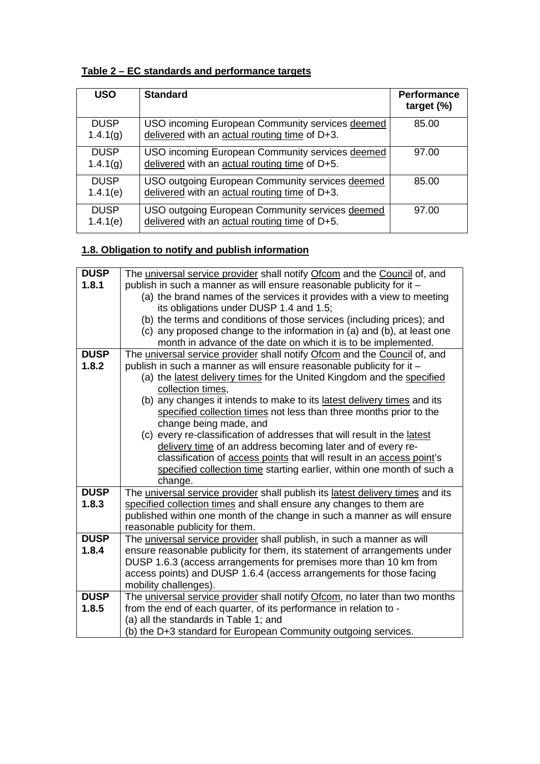## **Table 2 – EC standards and performance targets**

| <b>USO</b>              | <b>Standard</b>                                                                                  | <b>Performance</b><br>target $(\%)$ |
|-------------------------|--------------------------------------------------------------------------------------------------|-------------------------------------|
| <b>DUSP</b><br>1.4.1(g) | USO incoming European Community services deemed<br>delivered with an actual routing time of D+3. | 85.00                               |
| <b>DUSP</b><br>1.4.1(g) | USO incoming European Community services deemed<br>delivered with an actual routing time of D+5. | 97.00                               |
| <b>DUSP</b><br>1.4.1(e) | USO outgoing European Community services deemed<br>delivered with an actual routing time of D+3. | 85.00                               |
| <b>DUSP</b><br>1.4.1(e) | USO outgoing European Community services deemed<br>delivered with an actual routing time of D+5. | 97.00                               |

# **1.8. Obligation to notify and publish information**

| The universal service provider shall notify Ofcom and the Council of, and      |
|--------------------------------------------------------------------------------|
| publish in such a manner as will ensure reasonable publicity for it -          |
|                                                                                |
| (a) the brand names of the services it provides with a view to meeting         |
| its obligations under DUSP 1.4 and 1.5;                                        |
| (b) the terms and conditions of those services (including prices); and         |
| (c) any proposed change to the information in (a) and (b), at least one        |
| month in advance of the date on which it is to be implemented.                 |
| The universal service provider shall notify Ofcom and the Council of, and      |
| publish in such a manner as will ensure reasonable publicity for it -          |
| (a) the latest delivery times for the United Kingdom and the specified         |
| collection times,                                                              |
| (b) any changes it intends to make to its latest delivery times and its        |
| specified collection times not less than three months prior to the             |
| change being made, and                                                         |
| (c) every re-classification of addresses that will result in the latest        |
| delivery time of an address becoming later and of every re-                    |
| classification of access points that will result in an access point's          |
| specified collection time starting earlier, within one month of such a         |
| change.                                                                        |
|                                                                                |
| The universal service provider shall publish its latest delivery times and its |
| specified collection times and shall ensure any changes to them are            |
| published within one month of the change in such a manner as will ensure       |
| reasonable publicity for them.                                                 |
| The universal service provider shall publish, in such a manner as will         |
| ensure reasonable publicity for them, its statement of arrangements under      |
| DUSP 1.6.3 (access arrangements for premises more than 10 km from              |
| access points) and DUSP 1.6.4 (access arrangements for those facing            |
| mobility challenges).                                                          |
| The universal service provider shall notify Ofcom, no later than two months    |
| from the end of each quarter, of its performance in relation to -              |
| (a) all the standards in Table 1; and                                          |
| (b) the D+3 standard for European Community outgoing services.                 |
|                                                                                |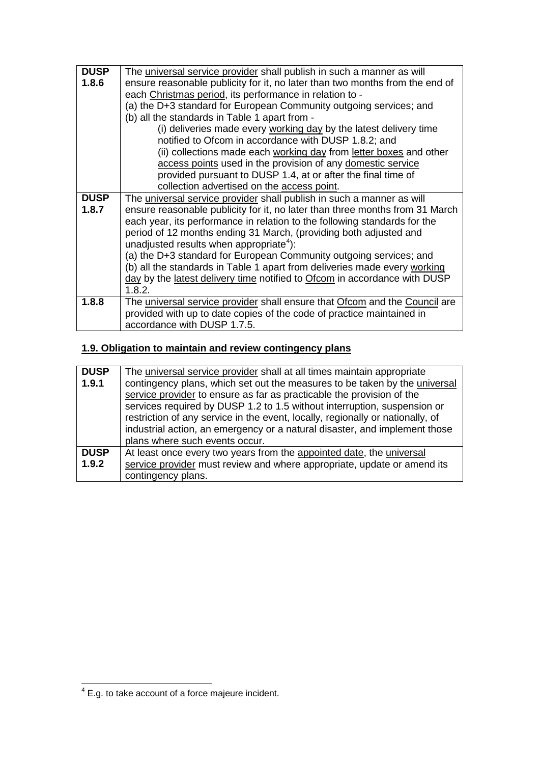| <b>DUSP</b> |                                                                              |
|-------------|------------------------------------------------------------------------------|
|             | The universal service provider shall publish in such a manner as will        |
| 1.8.6       | ensure reasonable publicity for it, no later than two months from the end of |
|             | each Christmas period, its performance in relation to -                      |
|             | (a) the D+3 standard for European Community outgoing services; and           |
|             | (b) all the standards in Table 1 apart from -                                |
|             | (i) deliveries made every working day by the latest delivery time            |
|             | notified to Ofcom in accordance with DUSP 1.8.2; and                         |
|             | (ii) collections made each working day from letter boxes and other           |
|             | access points used in the provision of any domestic service                  |
|             | provided pursuant to DUSP 1.4, at or after the final time of                 |
|             | collection advertised on the access point.                                   |
| <b>DUSP</b> | The universal service provider shall publish in such a manner as will        |
| 1.8.7       | ensure reasonable publicity for it, no later than three months from 31 March |
|             | each year, its performance in relation to the following standards for the    |
|             | period of 12 months ending 31 March, (providing both adjusted and            |
|             | unadjusted results when appropriate <sup>4</sup> ):                          |
|             | (a) the D+3 standard for European Community outgoing services; and           |
|             | (b) all the standards in Table 1 apart from deliveries made every working    |
|             | day by the latest delivery time notified to Ofcom in accordance with DUSP    |
|             | 1.8.2.                                                                       |
| 1.8.8       | The universal service provider shall ensure that Ofcom and the Council are   |
|             | provided with up to date copies of the code of practice maintained in        |
|             |                                                                              |
|             | accordance with DUSP 1.7.5.                                                  |

# **1.9. Obligation to maintain and review contingency plans**

| <b>DUSP</b> | The universal service provider shall at all times maintain appropriate         |
|-------------|--------------------------------------------------------------------------------|
| 1.9.1       | contingency plans, which set out the measures to be taken by the universal     |
|             | service provider to ensure as far as practicable the provision of the          |
|             | services required by DUSP 1.2 to 1.5 without interruption, suspension or       |
|             | restriction of any service in the event, locally, regionally or nationally, of |
|             | industrial action, an emergency or a natural disaster, and implement those     |
|             | plans where such events occur.                                                 |
| <b>DUSP</b> | At least once every two years from the appointed date, the universal           |
| 1.9.2       | service provider must review and where appropriate, update or amend its        |
|             | contingency plans.                                                             |

<span id="page-17-0"></span> $\overline{\text{4 E.g. to take account of a force majeure incident.}}$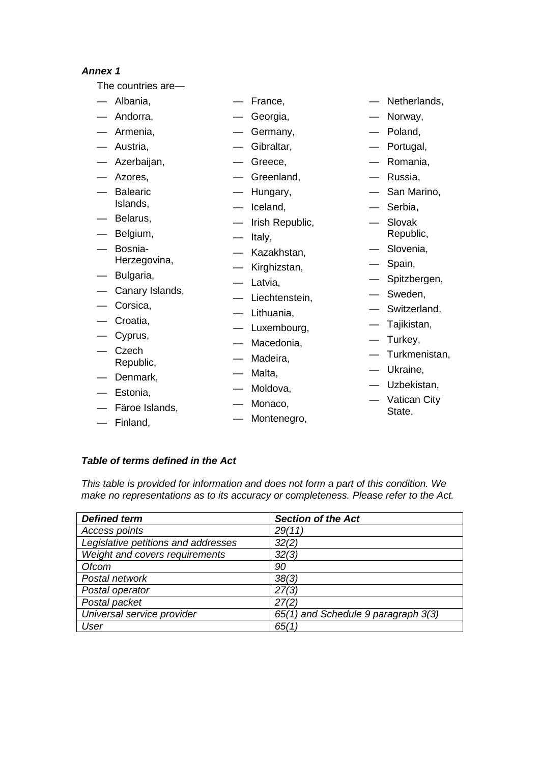#### *Annex 1*

The countries are—

- Albania,
- Andorra,
- Armenia,
- Austria,
- Azerbaijan,
- Azores,
- Balearic Islands,
- Belarus,
- Belgium,
- Bosnia-Herzegovina,
- Bulgaria,
- Canary Islands,
- Corsica,
- Croatia,
- Cyprus,
- Czech Republic,
- Denmark,
- Estonia,
- Färoe Islands,
- Finland,
- France,
- Georgia,
- Germany,
- Gibraltar,
- Greece,
	- Greenland,
		- Hungary,
	- Iceland,
	- Irish Republic,
	- Italy,
	- Kazakhstan,
	- Kirghizstan,
	- Latvia,
	- Liechtenstein,
	- Lithuania,
	- Luxembourg,
	- Macedonia,
	- Madeira,
	- Malta,
		- Moldova,
		- Monaco,
- Montenegro,
- Netherlands,
- Norway,
- Poland,
- Portugal,
- Romania,
- Russia,
- San Marino,
- Serbia,
- Slovak
- Republic,
- Slovenia,
- Spain,
- Spitzbergen,
- Sweden,
- Switzerland,
- Tajikistan,
- Turkey,
- Turkmenistan,
- Ukraine,
- Uzbekistan,
- Vatican City State.

## *Table of terms defined in the Act*

*This table is provided for information and does not form a part of this condition. We make no representations as to its accuracy or completeness. Please refer to the Act.*

| <b>Defined term</b>                 | <b>Section of the Act</b>           |
|-------------------------------------|-------------------------------------|
| Access points                       | 29(11)                              |
| Legislative petitions and addresses | 32(2)                               |
| Weight and covers requirements      | 32(3)                               |
| Ofcom                               | 90                                  |
| Postal network                      | 38(3)                               |
| Postal operator                     | 27(3)                               |
| Postal packet                       | 27(2)                               |
| Universal service provider          | 65(1) and Schedule 9 paragraph 3(3) |
| User                                | 65(1)                               |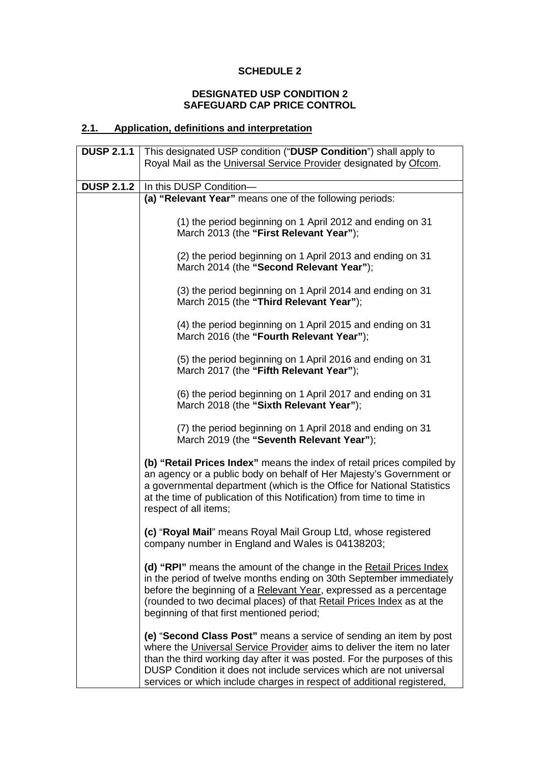## **SCHEDULE 2**

### **DESIGNATED USP CONDITION 2 SAFEGUARD CAP PRICE CONTROL**

## **2.1. Application, definitions and interpretation**

| <b>DUSP 2.1.1</b> | This designated USP condition ("DUSP Condition") shall apply to                                                                                                                                                                                                                                                                                                           |  |  |
|-------------------|---------------------------------------------------------------------------------------------------------------------------------------------------------------------------------------------------------------------------------------------------------------------------------------------------------------------------------------------------------------------------|--|--|
|                   | Royal Mail as the Universal Service Provider designated by Ofcom.                                                                                                                                                                                                                                                                                                         |  |  |
|                   |                                                                                                                                                                                                                                                                                                                                                                           |  |  |
| <b>DUSP 2.1.2</b> | In this DUSP Condition-                                                                                                                                                                                                                                                                                                                                                   |  |  |
|                   | (a) "Relevant Year" means one of the following periods:                                                                                                                                                                                                                                                                                                                   |  |  |
|                   | (1) the period beginning on 1 April 2012 and ending on 31<br>March 2013 (the "First Relevant Year");                                                                                                                                                                                                                                                                      |  |  |
|                   | (2) the period beginning on 1 April 2013 and ending on 31<br>March 2014 (the "Second Relevant Year");                                                                                                                                                                                                                                                                     |  |  |
|                   | (3) the period beginning on 1 April 2014 and ending on 31<br>March 2015 (the "Third Relevant Year");                                                                                                                                                                                                                                                                      |  |  |
|                   | (4) the period beginning on 1 April 2015 and ending on 31<br>March 2016 (the "Fourth Relevant Year");                                                                                                                                                                                                                                                                     |  |  |
|                   | (5) the period beginning on 1 April 2016 and ending on 31<br>March 2017 (the "Fifth Relevant Year");                                                                                                                                                                                                                                                                      |  |  |
|                   | (6) the period beginning on 1 April 2017 and ending on 31<br>March 2018 (the "Sixth Relevant Year");                                                                                                                                                                                                                                                                      |  |  |
|                   | (7) the period beginning on 1 April 2018 and ending on 31<br>March 2019 (the "Seventh Relevant Year");                                                                                                                                                                                                                                                                    |  |  |
|                   | (b) "Retail Prices Index" means the index of retail prices compiled by<br>an agency or a public body on behalf of Her Majesty's Government or<br>a governmental department (which is the Office for National Statistics<br>at the time of publication of this Notification) from time to time in<br>respect of all items;                                                 |  |  |
|                   | (c) "Royal Mail" means Royal Mail Group Ltd, whose registered<br>company number in England and Wales is 04138203;                                                                                                                                                                                                                                                         |  |  |
|                   | (d) "RPI" means the amount of the change in the Retail Prices Index<br>in the period of twelve months ending on 30th September immediately<br>before the beginning of a Relevant Year, expressed as a percentage<br>(rounded to two decimal places) of that Retail Prices Index as at the<br>beginning of that first mentioned period;                                    |  |  |
|                   | (e) "Second Class Post" means a service of sending an item by post<br>where the Universal Service Provider aims to deliver the item no later<br>than the third working day after it was posted. For the purposes of this<br>DUSP Condition it does not include services which are not universal<br>services or which include charges in respect of additional registered, |  |  |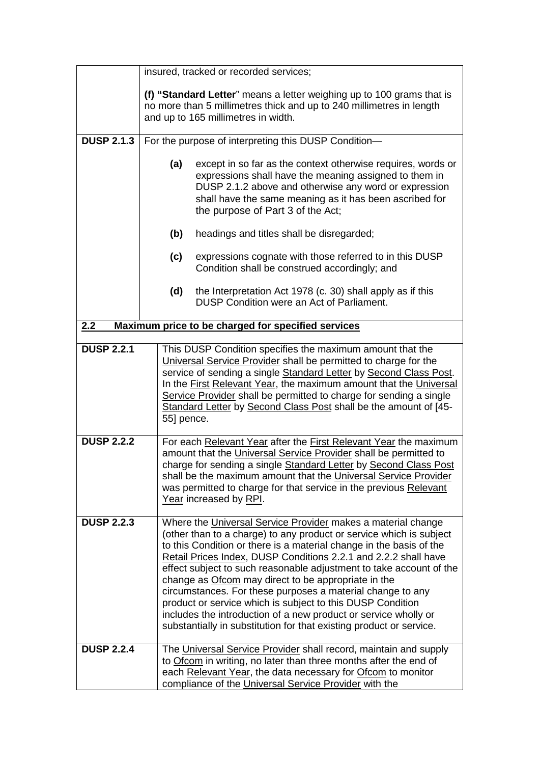|                                                           | insured, tracked or recorded services;                                                                                                                                                                                                                                                                                                                                                                                                                                                                                                                                                                                                                                            |                                                                                                                                                                                                                                                                                 |  |  |
|-----------------------------------------------------------|-----------------------------------------------------------------------------------------------------------------------------------------------------------------------------------------------------------------------------------------------------------------------------------------------------------------------------------------------------------------------------------------------------------------------------------------------------------------------------------------------------------------------------------------------------------------------------------------------------------------------------------------------------------------------------------|---------------------------------------------------------------------------------------------------------------------------------------------------------------------------------------------------------------------------------------------------------------------------------|--|--|
|                                                           | (f) "Standard Letter" means a letter weighing up to 100 grams that is<br>no more than 5 millimetres thick and up to 240 millimetres in length<br>and up to 165 millimetres in width.                                                                                                                                                                                                                                                                                                                                                                                                                                                                                              |                                                                                                                                                                                                                                                                                 |  |  |
| <b>DUSP 2.1.3</b>                                         | For the purpose of interpreting this DUSP Condition-                                                                                                                                                                                                                                                                                                                                                                                                                                                                                                                                                                                                                              |                                                                                                                                                                                                                                                                                 |  |  |
|                                                           | (a)                                                                                                                                                                                                                                                                                                                                                                                                                                                                                                                                                                                                                                                                               | except in so far as the context otherwise requires, words or<br>expressions shall have the meaning assigned to them in<br>DUSP 2.1.2 above and otherwise any word or expression<br>shall have the same meaning as it has been ascribed for<br>the purpose of Part 3 of the Act; |  |  |
|                                                           | (b)                                                                                                                                                                                                                                                                                                                                                                                                                                                                                                                                                                                                                                                                               | headings and titles shall be disregarded;                                                                                                                                                                                                                                       |  |  |
|                                                           | (c)                                                                                                                                                                                                                                                                                                                                                                                                                                                                                                                                                                                                                                                                               | expressions cognate with those referred to in this DUSP<br>Condition shall be construed accordingly; and                                                                                                                                                                        |  |  |
|                                                           | (d)                                                                                                                                                                                                                                                                                                                                                                                                                                                                                                                                                                                                                                                                               | the Interpretation Act 1978 (c. 30) shall apply as if this<br>DUSP Condition were an Act of Parliament.                                                                                                                                                                         |  |  |
| Maximum price to be charged for specified services<br>2.2 |                                                                                                                                                                                                                                                                                                                                                                                                                                                                                                                                                                                                                                                                                   |                                                                                                                                                                                                                                                                                 |  |  |
| <b>DUSP 2.2.1</b>                                         | This DUSP Condition specifies the maximum amount that the<br>Universal Service Provider shall be permitted to charge for the<br>service of sending a single Standard Letter by Second Class Post.<br>In the First Relevant Year, the maximum amount that the Universal<br>Service Provider shall be permitted to charge for sending a single<br>Standard Letter by Second Class Post shall be the amount of [45-<br>55] pence.                                                                                                                                                                                                                                                    |                                                                                                                                                                                                                                                                                 |  |  |
| <b>DUSP 2.2.2</b>                                         | For each Relevant Year after the First Relevant Year the maximum<br>amount that the Universal Service Provider shall be permitted to<br>charge for sending a single Standard Letter by Second Class Post<br>shall be the maximum amount that the Universal Service Provider<br>was permitted to charge for that service in the previous Relevant<br>Year increased by RPI.                                                                                                                                                                                                                                                                                                        |                                                                                                                                                                                                                                                                                 |  |  |
| <b>DUSP 2.2.3</b>                                         | Where the Universal Service Provider makes a material change<br>(other than to a charge) to any product or service which is subject<br>to this Condition or there is a material change in the basis of the<br>Retail Prices Index, DUSP Conditions 2.2.1 and 2.2.2 shall have<br>effect subject to such reasonable adjustment to take account of the<br>change as Ofcom may direct to be appropriate in the<br>circumstances. For these purposes a material change to any<br>product or service which is subject to this DUSP Condition<br>includes the introduction of a new product or service wholly or<br>substantially in substitution for that existing product or service. |                                                                                                                                                                                                                                                                                 |  |  |
| <b>DUSP 2.2.4</b>                                         |                                                                                                                                                                                                                                                                                                                                                                                                                                                                                                                                                                                                                                                                                   | The Universal Service Provider shall record, maintain and supply<br>to Ofcom in writing, no later than three months after the end of<br>each Relevant Year, the data necessary for Ofcom to monitor<br>compliance of the Universal Service Provider with the                    |  |  |